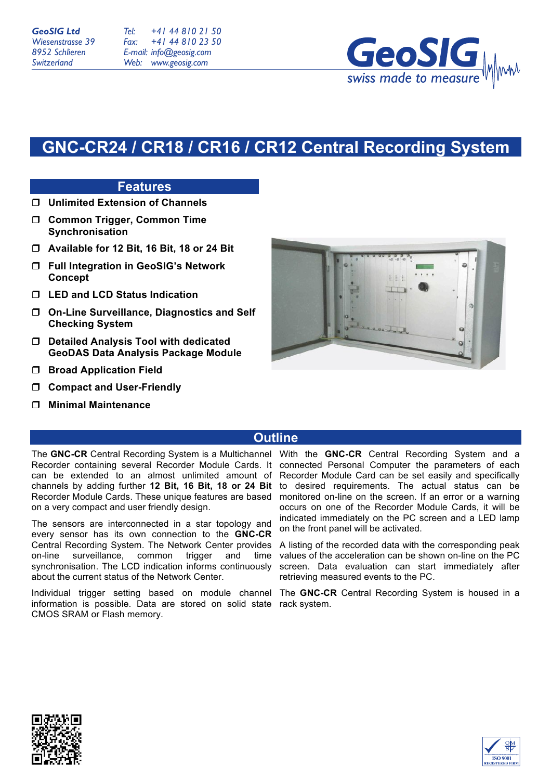*Tel: Fax: E-mail: info@geosig.com Web: www.geosig.com +41 44 810 21 50 +41 44 810 23 50*



# **GNC-CR24 / CR18 / CR16 / CR12 Central Recording System**

## **Features**

- ! **Unlimited Extension of Channels**
- ! **Common Trigger, Common Time Synchronisation**
- ! **Available for 12 Bit, 16 Bit, 18 or 24 Bit**
- ! **Full Integration in GeoSIG's Network Concept**
- ! **LED and LCD Status Indication**
- ! **On-Line Surveillance, Diagnostics and Self Checking System**
- ! **Detailed Analysis Tool with dedicated GeoDAS Data Analysis Package Module**
- $\Box$  Broad Application Field
- ! **Compact and User-Friendly**
- ! **Minimal Maintenance**



## **Outline**

The **GNC-CR** Central Recording System is a Multichannel Recorder containing several Recorder Module Cards. It can be extended to an almost unlimited amount of channels by adding further **12 Bit, 16 Bit, 18 or 24 Bit**  Recorder Module Cards. These unique features are based on a very compact and user friendly design.

The sensors are interconnected in a star topology and every sensor has its own connection to the **GNC-CR** Central Recording System. The Network Center provides on-line surveillance, common trigger and time synchronisation. The LCD indication informs continuously about the current status of the Network Center.

information is possible. Data are stored on solid state rack system.CMOS SRAM or Flash memory.

With the **GNC-CR** Central Recording System and a connected Personal Computer the parameters of each Recorder Module Card can be set easily and specifically to desired requirements. The actual status can be monitored on-line on the screen. If an error or a warning occurs on one of the Recorder Module Cards, it will be indicated immediately on the PC screen and a LED lamp on the front panel will be activated.

A listing of the recorded data with the corresponding peak values of the acceleration can be shown on-line on the PC screen. Data evaluation can start immediately after retrieving measured events to the PC.

Individual trigger setting based on module channel The **GNC-CR** Central Recording System is housed in a